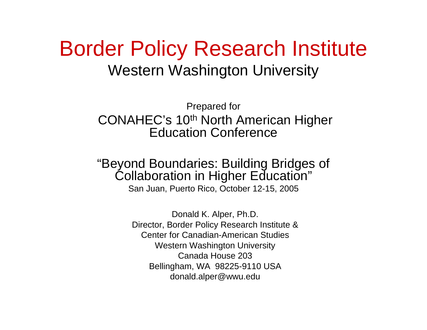#### Border Policy Research Institute Western Washington University

Prepared for CONAHEC's 10<sup>th</sup> North American Higher Education Conference

#### "Beyond Boundaries: Building Bridges of Collaboration in Higher Education"

San Juan, Puerto Rico, October 12-15, 2005

Don ald K. Alper, Ph.D. Director, Border Policy Research Institute & Center for Canadian-American StudiesWestern Washington University Canada House 203Bellingham, WA 98225-9110 USA donald.alper@wwu.edu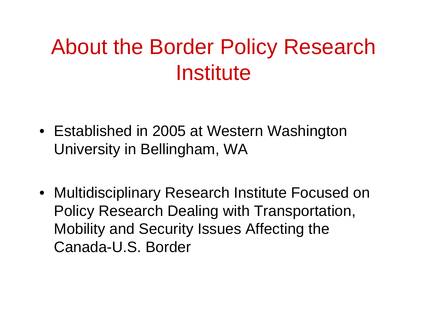## About the Border Policy Research **Institute**

- Established in 2005 at Western Washington University in Bellingham, WA
- Multidisciplinary Research Institute Focused on Policy Research Dealing with Transportation, Mobility and Security Issues Affecting the Canada-U.S. Border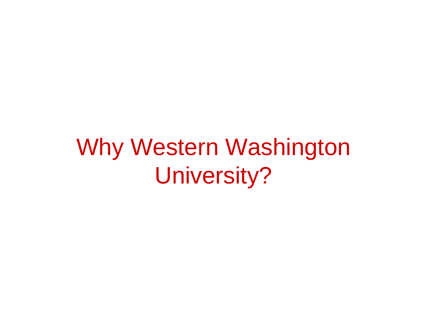# Why Western Washington University?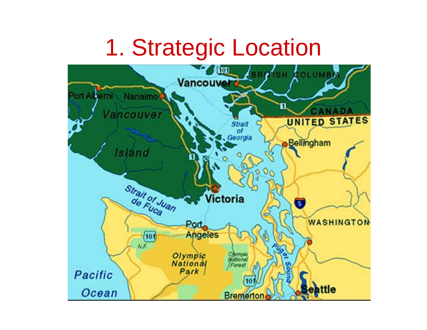### 1. Strategic Location

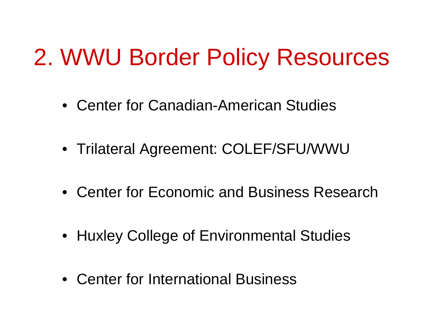# 2. WWU Border Policy Resources

- •Center for Canadian-American Studies
- Trilateral Agreement: COLEF/SFU/WWU
- •Center for Economic and Business Research
- Huxley College of Environmental Studies
- •Center for International Business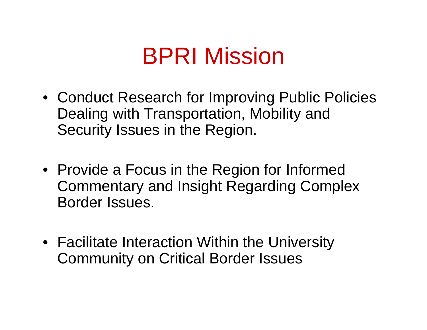# BPRI Mission

- Conduct Research for Improving Public Policies Dealing with Transportation, Mobility and Security Issues in the Region.
- Provide a Focus in the Region for Informed Commentary and Insight Regarding Complex Border Issues.
- Facilitate Interaction Within the University Community on Critical Border Issues